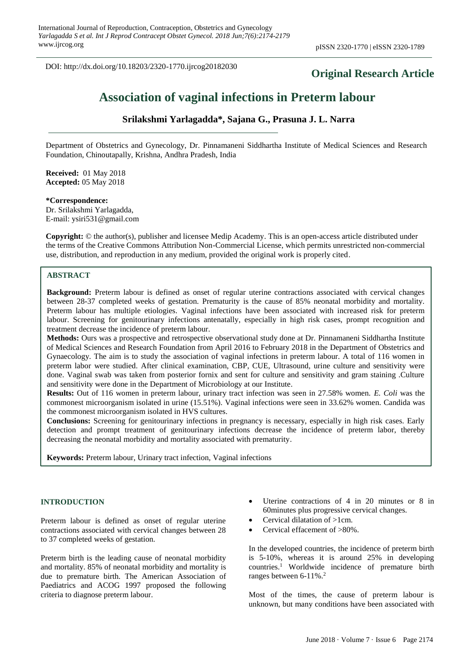DOI: http://dx.doi.org/10.18203/2320-1770.ijrcog20182030

## **Original Research Article**

# **Association of vaginal infections in Preterm labour**

## **Srilakshmi Yarlagadda\*, Sajana G., Prasuna J. L. Narra**

Department of Obstetrics and Gynecology, Dr. Pinnamaneni Siddhartha Institute of Medical Sciences and Research Foundation, Chinoutapally, Krishna, Andhra Pradesh, India

**Received:** 01 May 2018 **Accepted:** 05 May 2018

**\*Correspondence:** Dr. Srilakshmi Yarlagadda, E-mail: ysiri531@gmail.com

**Copyright:** © the author(s), publisher and licensee Medip Academy. This is an open-access article distributed under the terms of the Creative Commons Attribution Non-Commercial License, which permits unrestricted non-commercial use, distribution, and reproduction in any medium, provided the original work is properly cited.

## **ABSTRACT**

**Background:** Preterm labour is defined as onset of regular uterine contractions associated with cervical changes between 28-37 completed weeks of gestation. Prematurity is the cause of 85% neonatal morbidity and mortality. Preterm labour has multiple etiologies. Vaginal infections have been associated with increased risk for preterm labour. Screening for genitourinary infections antenatally, especially in high risk cases, prompt recognition and treatment decrease the incidence of preterm labour.

**Methods:** Ours was a prospective and retrospective observational study done at Dr. Pinnamaneni Siddhartha Institute of Medical Sciences and Research Foundation from April 2016 to February 2018 in the Department of Obstetrics and Gynaecology. The aim is to study the association of vaginal infections in preterm labour. A total of 116 women in preterm labor were studied. After clinical examination, CBP, CUE, Ultrasound, urine culture and sensitivity were done. Vaginal swab was taken from posterior fornix and sent for culture and sensitivity and gram staining .Culture and sensitivity were done in the Department of Microbiology at our Institute.

**Results:** Out of 116 women in preterm labour, urinary tract infection was seen in 27.58% women. *E. Coli* was the commonest microorganism isolated in urine (15.51%). Vaginal infections were seen in 33.62% women. Candida was the commonest microorganism isolated in HVS cultures.

**Conclusions:** Screening for genitourinary infections in pregnancy is necessary, especially in high risk cases. Early detection and prompt treatment of genitourinary infections decrease the incidence of preterm labor, thereby decreasing the neonatal morbidity and mortality associated with prematurity.

**Keywords:** Preterm labour, Urinary tract infection, Vaginal infections

## **INTRODUCTION**

Preterm labour is defined as onset of regular uterine contractions associated with cervical changes between 28 to 37 completed weeks of gestation.

Preterm birth is the leading cause of neonatal morbidity and mortality. 85% of neonatal morbidity and mortality is due to premature birth. The American Association of Paediatrics and ACOG 1997 proposed the following criteria to diagnose preterm labour.

- Uterine contractions of 4 in 20 minutes or 8 in 60minutes plus progressive cervical changes.
- Cervical dilatation of >1cm.
- Cervical effacement of >80%.

In the developed countries, the incidence of preterm birth is 5-10%, whereas it is around 25% in developing countries.<sup>1</sup> Worldwide incidence of premature birth ranges between 6-11%.<sup>2</sup>

Most of the times, the cause of preterm labour is unknown, but many conditions have been associated with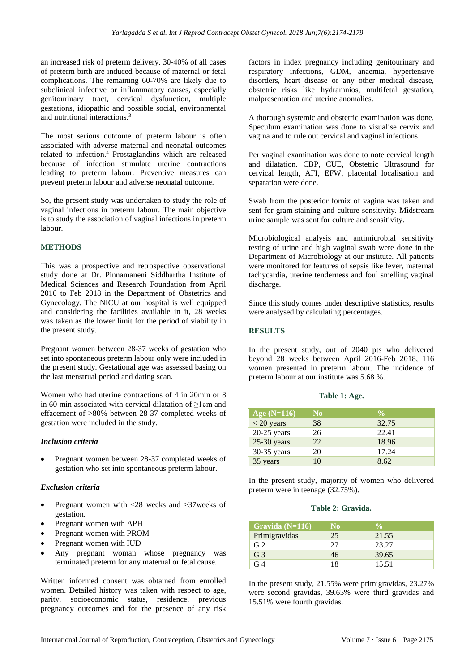an increased risk of preterm delivery. 30-40% of all cases of preterm birth are induced because of maternal or fetal complications. The remaining 60-70% are likely due to subclinical infective or inflammatory causes, especially genitourinary tract, cervical dysfunction, multiple gestations, idiopathic and possible social, environmental and nutritional interactions.<sup>3</sup>

The most serious outcome of preterm labour is often associated with adverse maternal and neonatal outcomes related to infection.<sup>4</sup> Prostaglandins which are released because of infection stimulate uterine contractions leading to preterm labour. Preventive measures can prevent preterm labour and adverse neonatal outcome.

So, the present study was undertaken to study the role of vaginal infections in preterm labour. The main objective is to study the association of vaginal infections in preterm labour.

## **METHODS**

This was a prospective and retrospective observational study done at Dr. Pinnamaneni Siddhartha Institute of Medical Sciences and Research Foundation from April 2016 to Feb 2018 in the Department of Obstetrics and Gynecology. The NICU at our hospital is well equipped and considering the facilities available in it, 28 weeks was taken as the lower limit for the period of viability in the present study.

Pregnant women between 28-37 weeks of gestation who set into spontaneous preterm labour only were included in the present study. Gestational age was assessed basing on the last menstrual period and dating scan.

Women who had uterine contractions of 4 in 20min or 8 in 60 min associated with cervical dilatation of ≥1cm and effacement of >80% between 28-37 completed weeks of gestation were included in the study.

## *Inclusion criteria*

• Pregnant women between 28-37 completed weeks of gestation who set into spontaneous preterm labour.

## *Exclusion criteria*

- Pregnant women with <28 weeks and >37weeks of gestation.
- Pregnant women with APH
- Pregnant women with PROM
- Pregnant women with IUD
- Any pregnant woman whose pregnancy was terminated preterm for any maternal or fetal cause.

Written informed consent was obtained from enrolled women. Detailed history was taken with respect to age, parity, socioeconomic status, residence, previous pregnancy outcomes and for the presence of any risk factors in index pregnancy including genitourinary and respiratory infections, GDM, anaemia, hypertensive disorders, heart disease or any other medical disease, obstetric risks like hydramnios, multifetal gestation, malpresentation and uterine anomalies.

A thorough systemic and obstetric examination was done. Speculum examination was done to visualise cervix and vagina and to rule out cervical and vaginal infections.

Per vaginal examination was done to note cervical length and dilatation. CBP, CUE, Obstetric Ultrasound for cervical length, AFI, EFW, placental localisation and separation were done.

Swab from the posterior fornix of vagina was taken and sent for gram staining and culture sensitivity. Midstream urine sample was sent for culture and sensitivity.

Microbiological analysis and antimicrobial sensitivity testing of urine and high vaginal swab were done in the Department of Microbiology at our institute. All patients were monitored for features of sepsis like fever, maternal tachycardia, uterine tenderness and foul smelling vaginal discharge.

Since this study comes under descriptive statistics, results were analysed by calculating percentages.

## **RESULTS**

In the present study, out of 2040 pts who delivered beyond 28 weeks between April 2016-Feb 2018, 116 women presented in preterm labour. The incidence of preterm labour at our institute was 5.68 %.

| Age $(N=116)$ | N <sub>0</sub> | $\frac{0}{\alpha}$ |
|---------------|----------------|--------------------|
| $<$ 20 years  | 38             | 32.75              |
| $20-25$ years | 26             | 22.41              |
| $25-30$ years | 22             | 18.96              |
| $30-35$ years | 20             | 17.24              |
| 35 years      | 10             | 8.62               |

**Table 1: Age.**

In the present study, majority of women who delivered preterm were in teenage (32.75%).

#### **Table 2: Gravida.**

| Gravida $(N=116)$ | N <sub>0</sub> |       |  |
|-------------------|----------------|-------|--|
| Primigravidas     | 25             | 21.55 |  |
| G <sub>2</sub>    | 27             | 23.27 |  |
| G <sub>3</sub>    | 46             | 39.65 |  |
| 74                | 18             | 15.51 |  |

In the present study, 21.55% were primigravidas, 23.27% were second gravidas, 39.65% were third gravidas and 15.51% were fourth gravidas.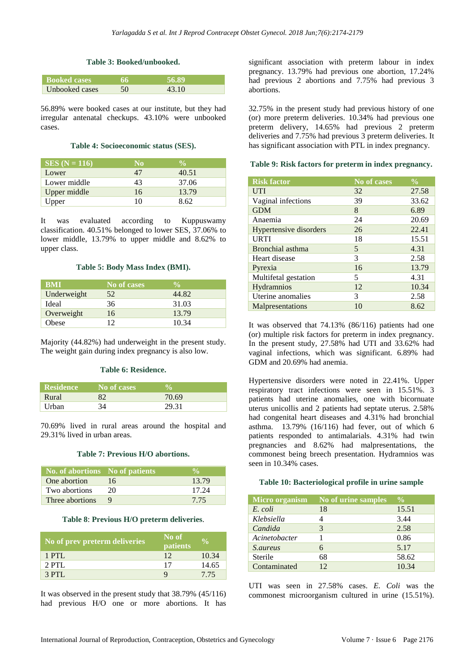## **Table 3: Booked/unbooked.**

| <b>Booked cases</b> |    | 56.89 |  |
|---------------------|----|-------|--|
| Unbooked cases      | 50 | 43.10 |  |

56.89% were booked cases at our institute, but they had irregular antenatal checkups. 43.10% were unbooked cases.

#### **Table 4: Socioeconomic status (SES).**

| $SES (N = 116)$ | N <sub>0</sub> | $\mathbf{0}_{\Lambda}$ |
|-----------------|----------------|------------------------|
| Lower           | 47             | 40.51                  |
| Lower middle    | 43             | 37.06                  |
| Upper middle    | 16             | 13.79                  |
| Upper           | 10             | 8.62                   |

It was evaluated according to Kuppuswamy classification. 40.51% belonged to lower SES, 37.06% to lower middle, 13.79% to upper middle and 8.62% to upper class.

#### **Table 5: Body Mass Index (BMI).**

| <b>BMI</b>  | No of cases | $\frac{0}{\sqrt{2}}$ |
|-------------|-------------|----------------------|
| Underweight | 52          | 44.82                |
| Ideal       | 36          | 31.03                |
| Overweight  | 16          | 13.79                |
| Obese       | 12          | 10.34                |

Majority (44.82%) had underweight in the present study. The weight gain during index pregnancy is also low.

## **Table 6: Residence.**

| <b>Residence</b> | No of cases |       |
|------------------|-------------|-------|
| Rural            | 82          | 70.69 |
| Urban            | 34          | 29.31 |

70.69% lived in rural areas around the hospital and 29.31% lived in urban areas.

#### **Table 7: Previous H/O abortions.**

| No. of abortions No of patients |    |       |
|---------------------------------|----|-------|
| One abortion                    | 16 | 13.79 |
| Two abortions                   | 20 | 17.24 |
| Three abortions                 |    | 775   |

#### **Table 8**: **Previous H/O preterm deliveries**.

| No of prev preterm deliveries | No of<br>patients | YO.   |
|-------------------------------|-------------------|-------|
| $1$ PTL                       | 12                | 10.34 |
| $2$ PTL.                      | 17                | 14.65 |
| $3$ PTL                       |                   | 7.75  |

It was observed in the present study that 38.79% (45/116) had previous H/O one or more abortions. It has significant association with preterm labour in index pregnancy. 13.79% had previous one abortion, 17.24% had previous 2 abortions and 7.75% had previous 3 abortions.

32.75% in the present study had previous history of one (or) more preterm deliveries. 10.34% had previous one preterm delivery, 14.65% had previous 2 preterm deliveries and 7.75% had previous 3 preterm deliveries. It has significant association with PTL in index pregnancy.

#### **Table 9: Risk factors for preterm in index pregnancy.**

|                        |             | $\frac{1}{2}$ |
|------------------------|-------------|---------------|
| <b>Risk factor</b>     | No of cases |               |
| <b>UTI</b>             | 32          | 27.58         |
| Vaginal infections     | 39          | 33.62         |
| <b>GDM</b>             | 8           | 6.89          |
| Anaemia                | 24          | 20.69         |
| Hypertensive disorders | 26          | 22.41         |
| <b>URTI</b>            | 18          | 15.51         |
| Bronchial asthma       | 5           | 4.31          |
| Heart disease          | 3           | 2.58          |
| Pyrexia                | 16          | 13.79         |
| Multifetal gestation   | 5           | 4.31          |
| <b>Hydramnios</b>      | 12          | 10.34         |
| Uterine anomalies      | 3           | 2.58          |
| Malpresentations       | 10          | 8.62          |

It was observed that 74.13% (86/116) patients had one (or) multiple risk factors for preterm in index pregnancy. In the present study, 27.58% had UTI and 33.62% had vaginal infections, which was significant. 6.89% had GDM and 20.69% had anemia.

Hypertensive disorders were noted in 22.41%. Upper respiratory tract infections were seen in 15.51%. 3 patients had uterine anomalies, one with bicornuate uterus unicollis and 2 patients had septate uterus. 2.58% had congenital heart diseases and 4.31% had bronchial asthma. 13.79% (16/116) had fever, out of which 6 patients responded to antimalarials. 4.31% had twin pregnancies and 8.62% had malpresentations, the commonest being breech presentation. Hydramnios was seen in 10.34% cases.

#### **Table 10: Bacteriological profile in urine sample**

| <b>Micro organism</b> | No of urine samples | $\frac{0}{0}$ |
|-----------------------|---------------------|---------------|
| E. coli               | 18                  | 15.51         |
| Klebsiella            |                     | 3.44          |
| Candida               | 3                   | 2.58          |
| Acinetobacter         |                     | 0.86          |
| <i>S.aureus</i>       | 6                   | 5.17          |
| Sterile               | 68                  | 58.62         |
| Contaminated          | 12                  | 10.34         |

UTI was seen in 27.58% cases. *E. Coli* was the commonest microorganism cultured in urine (15.51%).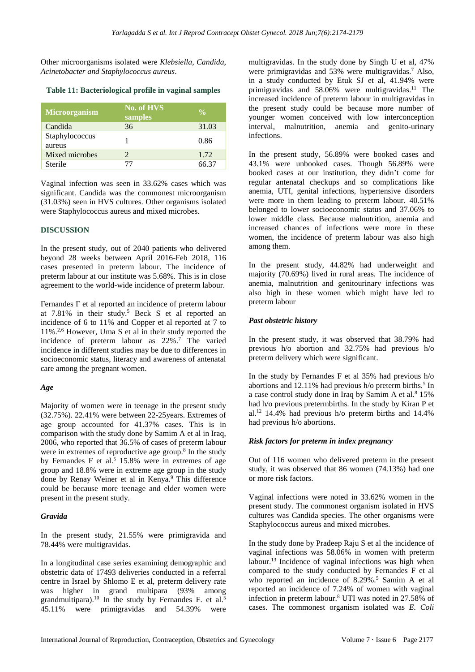Other microorganisms isolated were *Klebsiella, Candida, Acinetobacter and Staphylococcus aureus*.

## **Table 11: Bacteriological profile in vaginal samples**

| <b>Microorganism</b>     | <b>No. of HVS</b><br>samples | $\frac{0}{0}$ |
|--------------------------|------------------------------|---------------|
| Candida                  | 36                           | 31.03         |
| Staphylococcus<br>aureus |                              | 0.86          |
| Mixed microbes           | $\mathcal{D}$                | 1.72          |
| Sterile                  |                              | 66.37         |

Vaginal infection was seen in 33.62% cases which was significant. Candida was the commonest microorganism (31.03%) seen in HVS cultures. Other organisms isolated were Staphylococcus aureus and mixed microbes.

## **DISCUSSION**

In the present study, out of 2040 patients who delivered beyond 28 weeks between April 2016-Feb 2018, 116 cases presented in preterm labour. The incidence of preterm labour at our institute was 5.68%. This is in close agreement to the world-wide incidence of preterm labour.

Fernandes F et al reported an incidence of preterm labour at  $7.81\%$  in their study.<sup>5</sup> Beck S et al reported an incidence of 6 to 11% and Copper et al reported at 7 to 11%.2,6 However, Uma S et al in their study reported the incidence of preterm labour as 22%.<sup>7</sup> The varied incidence in different studies may be due to differences in socioeconomic status, literacy and awareness of antenatal care among the pregnant women.

## *Age*

Majority of women were in teenage in the present study (32.75%). 22.41% were between 22-25years. Extremes of age group accounted for 41.37% cases. This is in comparison with the study done by Samim A et al in Iraq, 2006, who reported that 36.5% of cases of preterm labour were in extremes of reproductive age group. 8 In the study by Fernandes F et al.<sup>5</sup> 15.8% were in extremes of age group and 18.8% were in extreme age group in the study done by Renay Weiner et al in Kenya. <sup>9</sup> This difference could be because more teenage and elder women were present in the present study.

## *Gravida*

In the present study, 21.55% were primigravida and 78.44% were multigravidas.

In a longitudinal case series examining demographic and obstetric data of 17493 deliveries conducted in a referral centre in Israel by Shlomo E et al, preterm delivery rate was higher in grand multipara (93% among grandmultipara).<sup>10</sup> In the study by Fernandes F. et al.<sup>5</sup> 45.11% were primigravidas and 54.39% were multigravidas. In the study done by Singh U et al, 47% were primigravidas and  $53\%$  were multigravidas.<sup>7</sup> Also, in a study conducted by Etuk SJ et al, 41.94% were primigravidas and 58.06% were multigravidas.<sup>11</sup> The increased incidence of preterm labour in multigravidas in the present study could be because more number of younger women conceived with low interconception interval, malnutrition, anemia and genito-urinary infections.

In the present study, 56.89% were booked cases and 43.1% were unbooked cases. Though 56.89% were booked cases at our institution, they didn't come for regular antenatal checkups and so complications like anemia, UTI, genital infections, hypertensive disorders were more in them leading to preterm labour. 40.51% belonged to lower socioeconomic status and 37.06% to lower middle class. Because malnutrition, anemia and increased chances of infections were more in these women, the incidence of preterm labour was also high among them.

In the present study, 44.82% had underweight and majority (70.69%) lived in rural areas. The incidence of anemia, malnutrition and genitourinary infections was also high in these women which might have led to preterm labour

## *Past obstetric history*

In the present study, it was observed that 38.79% had previous h/o abortion and 32.75% had previous h/o preterm delivery which were significant.

In the study by Fernandes F et al 35% had previous h/o abortions and  $12.11\%$  had previous h/o preterm births.<sup>5</sup> In a case control study done in Iraq by Samim A et al.<sup>8</sup> 15% had h/o previous pretermbirths. In the study by Kiran P et al.<sup>12</sup> 14.4% had previous h/o preterm births and 14.4% had previous h/o abortions.

## *Risk factors for preterm in index pregnancy*

Out of 116 women who delivered preterm in the present study, it was observed that 86 women (74.13%) had one or more risk factors.

Vaginal infections were noted in 33.62% women in the present study. The commonest organism isolated in HVS cultures was Candida species. The other organisms were Staphylococcus aureus and mixed microbes.

In the study done by Pradeep Raju S et al the incidence of vaginal infections was 58.06% in women with preterm labour.<sup>13</sup> Incidence of vaginal infections was high when compared to the study conducted by Fernandes F et al who reported an incidence of  $8.29\%$ .<sup>5</sup> Samim A et al reported an incidence of 7.24% of women with vaginal infection in preterm labour.<sup>8</sup> UTI was noted in 27.58% of cases. The commonest organism isolated was *E. Coli*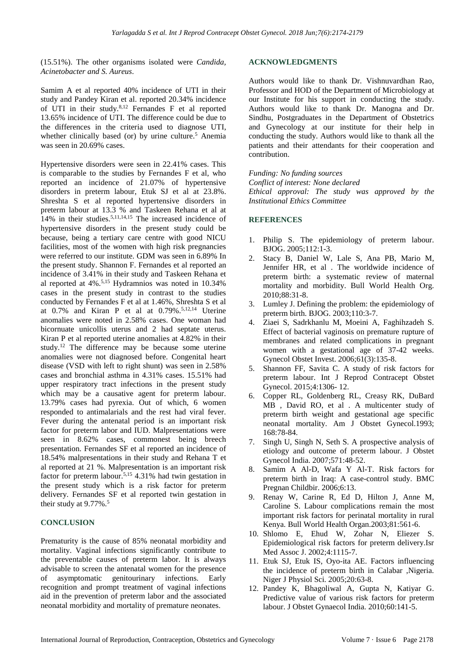(15.51%). The other organisms isolated were *Candida, Acinetobacter and S. Aureus*.

Samim A et al reported 40% incidence of UTI in their study and Pandey Kiran et al. reported 20.34% incidence of UTI in their study.8,12 Fernandes F et al reported 13.65% incidence of UTI. The difference could be due to the differences in the criteria used to diagnose UTI, whether clinically based (or) by urine culture.<sup>5</sup> Anemia was seen in 20.69% cases.

Hypertensive disorders were seen in 22.41% cases. This is comparable to the studies by Fernandes F et al, who reported an incidence of 21.07% of hypertensive disorders in preterm labour, Etuk SJ et al at 23.8%. Shreshta S et al reported hypertensive disorders in preterm labour at 13.3 % and Taskeen Rehana et al at 14% in their studies.5,11,14,15 The increased incidence of hypertensive disorders in the present study could be because, being a tertiary care centre with good NICU facilities, most of the women with high risk pregnancies were referred to our institute. GDM was seen in 6.89% In the present study. Shannon F. Fernandes et al reported an incidence of 3.41% in their study and Taskeen Rehana et al reported at 4%.5,15 Hydramnios was noted in 10.34% cases in the present study in contrast to the studies conducted by Fernandes F et al at 1.46%, Shreshta S et al at 0.7% and Kiran P et al at 0.79%. 5,12,14 Uterine anomalies were noted in 2.58% cases. One woman had bicornuate unicollis uterus and 2 had septate uterus. Kiran P et al reported uterine anomalies at 4.82% in their study.<sup>12</sup> The difference may be because some uterine anomalies were not diagnosed before. Congenital heart disease (VSD with left to right shunt) was seen in 2.58% cases and bronchial asthma in 4.31% cases. 15.51% had upper respiratory tract infections in the present study which may be a causative agent for preterm labour. 13.79% cases had pyrexia. Out of which, 6 women responded to antimalarials and the rest had viral fever. Fever during the antenatal period is an important risk factor for preterm labor and IUD. Malpresentations were seen in 8.62% cases, commonest being breech presentation. Fernandes SF et al reported an incidence of 18.54% malpresentations in their study and Rehana T et al reported at 21 %. Malpresentation is an important risk factor for preterm labour.5,15 4.31% had twin gestation in the present study which is a risk factor for preterm delivery. Fernandes SF et al reported twin gestation in their study at 9.77%. 5

## **CONCLUSION**

Prematurity is the cause of 85% neonatal morbidity and mortality. Vaginal infections significantly contribute to the preventable causes of preterm labor. It is always advisable to screen the antenatal women for the presence of asymptomatic genitourinary infections. Early recognition and prompt treatment of vaginal infections aid in the prevention of preterm labor and the associated neonatal morbidity and mortality of premature neonates.

#### **ACKNOWLEDGMENTS**

Authors would like to thank Dr. Vishnuvardhan Rao, Professor and HOD of the Department of Microbiology at our Institute for his support in conducting the study. Authors would like to thank Dr. Manogna and Dr. Sindhu, Postgraduates in the Department of Obstetrics and Gynecology at our institute for their help in conducting the study. Authors would like to thank all the patients and their attendants for their cooperation and contribution.

*Funding: No funding sources Conflict of interest: None declared Ethical approval: The study was approved by the Institutional Ethics Committee*

## **REFERENCES**

- 1. Philip S. The epidemiology of preterm labour. BJOG. 2005;112:1-3.
- 2. Stacy B, Daniel W, Lale S, Ana PB, Mario M, Jennifer HR, et al . The worldwide incidence of preterm birth: a systematic review of maternal mortality and morbidity. Bull World Health Org. 2010;88:31-8.
- 3. Lumley J. Defining the problem: the epidemiology of preterm birth. BJOG. 2003;110:3-7.
- 4. Ziaei S, Sadrkhanlu M, Moeini A, Faghihzadeh S. Effect of bacterial vaginosis on premature rupture of membranes and related complications in pregnant women with a gestational age of 37-42 weeks. Gynecol Obstet Invest. 2006;61(3):135-8.
- 5. Shannon FF, Savita C. A study of risk factors for preterm labour. Int J Reprod Contracept Obstet Gynecol. 2015;4:1306- 12.
- 6. Copper RL, Goldenberg RL, Creasy RK, DuBard MB , David RO, et al . A multicenter study of preterm birth weight and gestational age specific neonatal mortality. Am J Obstet Gynecol.1993; 168:78-84.
- 7. Singh U, Singh N, Seth S. A prospective analysis of etiology and outcome of preterm labour. J Obstet Gynecol India. 2007;571:48-52.
- 8. Samim A Al-D, Wafa Y Al-T. Risk factors for preterm birth in Iraq: A case-control study. BMC Pregnan Childbir. 2006;6:13.
- 9. Renay W, Carine R, Ed D, Hilton J, Anne M, Caroline S. Labour complications remain the most important risk factors for perinatal mortality in rural Kenya. Bull World Health Organ.2003;81:561-6.
- 10. Shlomo E, Ehud W, Zohar N, Eliezer S. Epidemiological risk factors for preterm delivery.Isr Med Assoc J. 2002;4:1115-7.
- 11. Etuk SJ, Etuk IS, Oyo-ita AE. Factors influencing the incidence of preterm birth in Calabar ,Nigeria. Niger J Physiol Sci. 2005;20:63-8.
- 12. Pandey K, Bhagoliwal A, Gupta N, Katiyar G. Predictive value of various risk factors for preterm labour. J Obstet Gynaecol India. 2010;60:141-5.